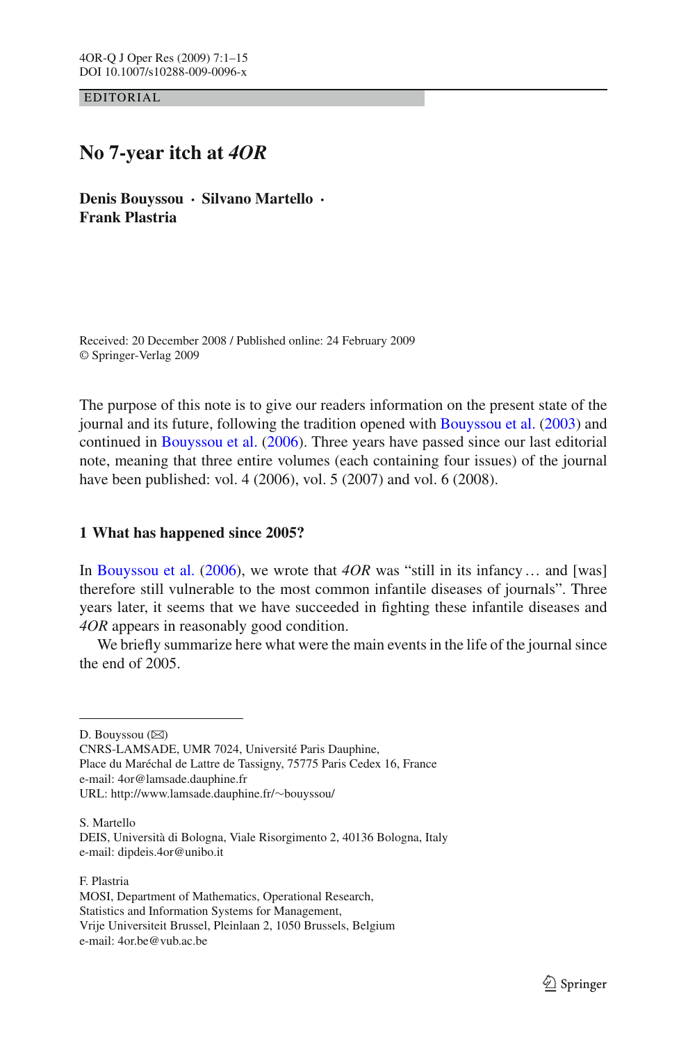EDITORIAL

# **No 7-year itch at** *4OR*

**Denis Bouyssou · Silvano Martello · Frank Plastria**

Received: 20 December 2008 / Published online: 24 February 2009 © Springer-Verlag 2009

The purpose of this note is to give our readers information on the present state of the journal and its future, following the tradition opened with [Bouyssou et al.](#page-13-0) [\(2003\)](#page-13-0) and continued in [Bouyssou et al.](#page-13-1) [\(2006\)](#page-13-1). Three years have passed since our last editorial note, meaning that three entire volumes (each containing four issues) of the journal have been published: vol. 4 (2006), vol. 5 (2007) and vol. 6 (2008).

# **1 What has happened since 2005?**

In [Bouyssou et al.](#page-13-1) [\(2006\)](#page-13-1), we wrote that *4OR* was "still in its infancy… and [was] therefore still vulnerable to the most common infantile diseases of journals". Three years later, it seems that we have succeeded in fighting these infantile diseases and *4OR* appears in reasonably good condition.

We briefly summarize here what were the main events in the life of the journal since the end of 2005.

D. Bouyssou  $(\boxtimes)$ 

CNRS-LAMSADE, UMR 7024, Université Paris Dauphine, Place du Maréchal de Lattre de Tassigny, 75775 Paris Cedex 16, France e-mail: 4or@lamsade.dauphine.fr URL: http://www.lamsade.dauphine.fr/∼bouyssou/

S. Martello DEIS, Università di Bologna, Viale Risorgimento 2, 40136 Bologna, Italy e-mail: dipdeis.4or@unibo.it

F. Plastria MOSI, Department of Mathematics, Operational Research, Statistics and Information Systems for Management, Vrije Universiteit Brussel, Pleinlaan 2, 1050 Brussels, Belgium e-mail: 4or.be@vub.ac.be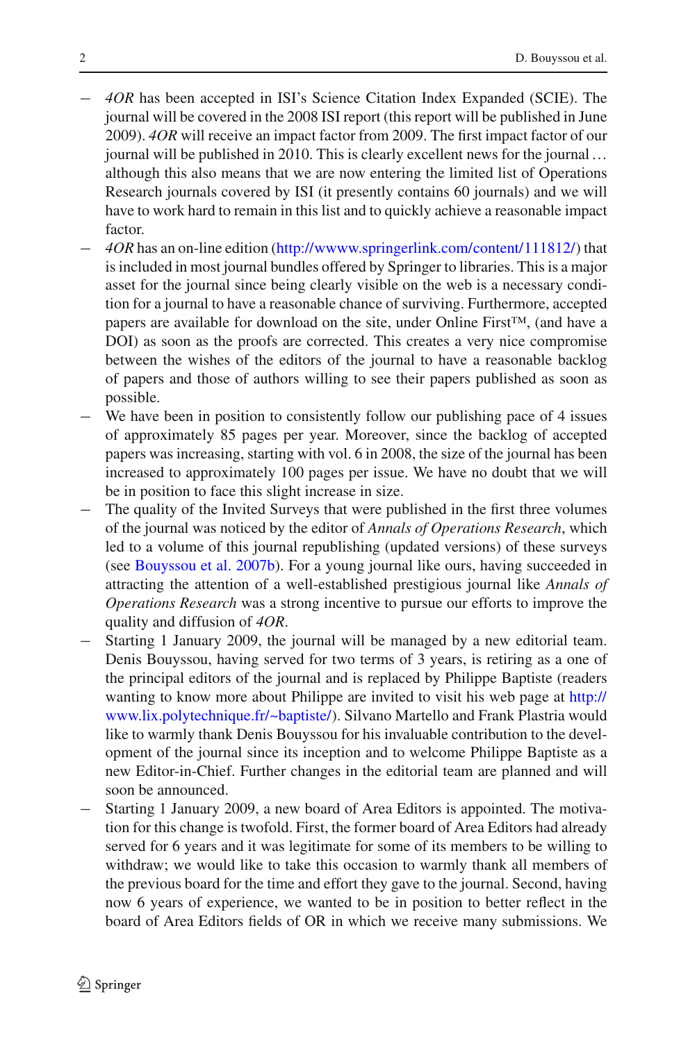- − *4OR* has been accepted in ISI's Science Citation Index Expanded (SCIE). The journal will be covered in the 2008 ISI report (this report will be published in June 2009). *4OR* will receive an impact factor from 2009. The first impact factor of our journal will be published in 2010. This is clearly excellent news for the journal… although this also means that we are now entering the limited list of Operations Research journals covered by ISI (it presently contains 60 journals) and we will have to work hard to remain in this list and to quickly achieve a reasonable impact factor.
- − *4OR* has an on-line edition [\(http://wwww.springerlink.com/content/111812/\)](http://wwww.springerlink.com/content/111812/) that is included in most journal bundles offered by Springer to libraries. This is a major asset for the journal since being clearly visible on the web is a necessary condition for a journal to have a reasonable chance of surviving. Furthermore, accepted papers are available for download on the site, under Online First™, (and have a DOI) as soon as the proofs are corrected. This creates a very nice compromise between the wishes of the editors of the journal to have a reasonable backlog of papers and those of authors willing to see their papers published as soon as possible.
- We have been in position to consistently follow our publishing pace of 4 issues of approximately 85 pages per year. Moreover, since the backlog of accepted papers was increasing, starting with vol. 6 in 2008, the size of the journal has been increased to approximately 100 pages per issue. We have no doubt that we will be in position to face this slight increase in size.
- The quality of the Invited Surveys that were published in the first three volumes of the journal was noticed by the editor of *Annals of Operations Research*, which led to a volume of this journal republishing (updated versions) of these surveys (see [Bouyssou et al. 2007b\)](#page-13-2). For a young journal like ours, having succeeded in attracting the attention of a well-established prestigious journal like *Annals of Operations Research* was a strong incentive to pursue our efforts to improve the quality and diffusion of *4OR*.
- Starting 1 January 2009, the journal will be managed by a new editorial team. Denis Bouyssou, having served for two terms of 3 years, is retiring as a one of the principal editors of the journal and is replaced by Philippe Baptiste (readers wanting to know more about Philippe are invited to visit his web page at [http://](http://www.lix.polytechnique.fr/~baptiste/) [www.lix.polytechnique.fr/~baptiste/\)](http://www.lix.polytechnique.fr/~baptiste/). Silvano Martello and Frank Plastria would like to warmly thank Denis Bouyssou for his invaluable contribution to the development of the journal since its inception and to welcome Philippe Baptiste as a new Editor-in-Chief. Further changes in the editorial team are planned and will soon be announced.
- − Starting 1 January 2009, a new board of Area Editors is appointed. The motivation for this change is twofold. First, the former board of Area Editors had already served for 6 years and it was legitimate for some of its members to be willing to withdraw; we would like to take this occasion to warmly thank all members of the previous board for the time and effort they gave to the journal. Second, having now 6 years of experience, we wanted to be in position to better reflect in the board of Area Editors fields of OR in which we receive many submissions. We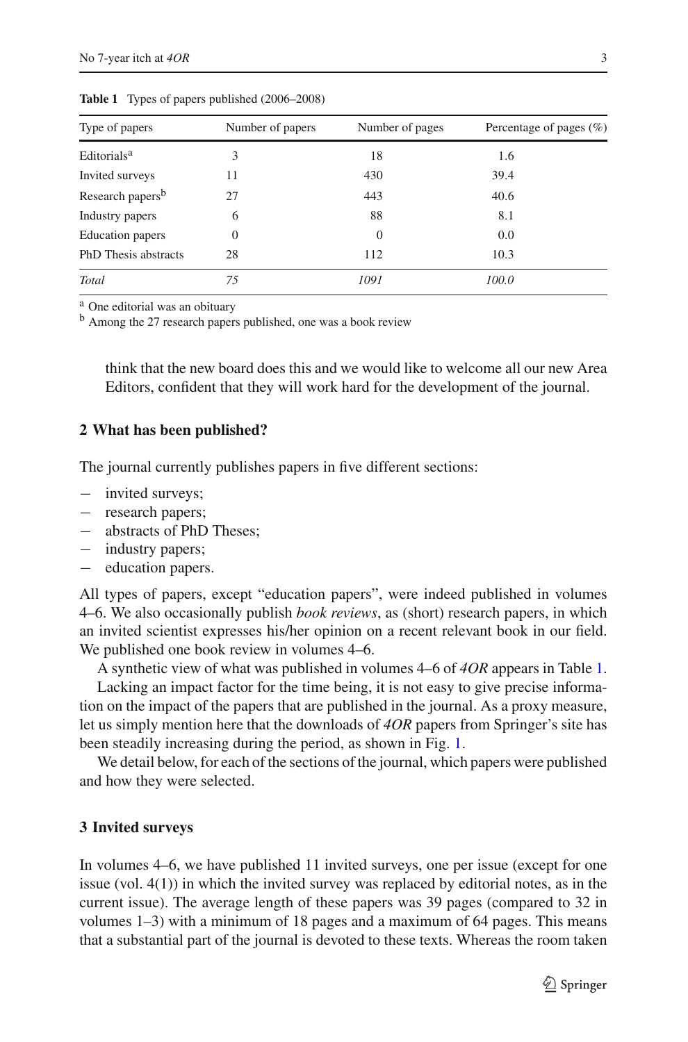<span id="page-2-0"></span>

| Type of papers               | Number of papers | Number of pages | Percentage of pages $(\% )$ |
|------------------------------|------------------|-----------------|-----------------------------|
| Editorials <sup>a</sup>      | 3                | 18              | 1.6                         |
| Invited surveys              | 11               | 430             | 39.4                        |
| Research papers <sup>b</sup> | 27               | 443             | 40.6                        |
| Industry papers              | 6                | 88              | 8.1                         |
| <b>Education</b> papers      | $\Omega$         | $\overline{0}$  | 0.0                         |
| <b>PhD</b> Thesis abstracts  | 28               | 112             | 10.3                        |
| Total                        | 75               | 1091            | 100.0                       |

**Table 1** Types of papers published (2006–2008)

<sup>a</sup> One editorial was an obituary

<sup>b</sup> Among the 27 research papers published, one was a book review

think that the new board does this and we would like to welcome all our new Area Editors, confident that they will work hard for the development of the journal.

#### **2 What has been published?**

The journal currently publishes papers in five different sections:

- − invited surveys;
- − research papers;
- − abstracts of PhD Theses;
- − industry papers;
- education papers.

All types of papers, except "education papers", were indeed published in volumes 4–6. We also occasionally publish *book reviews*, as (short) research papers, in which an invited scientist expresses his/her opinion on a recent relevant book in our field. We published one book review in volumes  $4-6$ .

A synthetic view of what was published in volumes 4–6 of *4OR* appears in Table [1.](#page-2-0)

Lacking an impact factor for the time being, it is not easy to give precise information on the impact of the papers that are published in the journal. As a proxy measure, let us simply mention here that the downloads of *4OR* papers from Springer's site has been steadily increasing during the period, as shown in Fig. [1.](#page-3-0)

We detail below, for each of the sections of the journal, which papers were published and how they were selected.

#### **3 Invited surveys**

In volumes 4–6, we have published 11 invited surveys, one per issue (except for one issue (vol. 4(1)) in which the invited survey was replaced by editorial notes, as in the current issue). The average length of these papers was 39 pages (compared to 32 in volumes 1–3) with a minimum of 18 pages and a maximum of 64 pages. This means that a substantial part of the journal is devoted to these texts. Whereas the room taken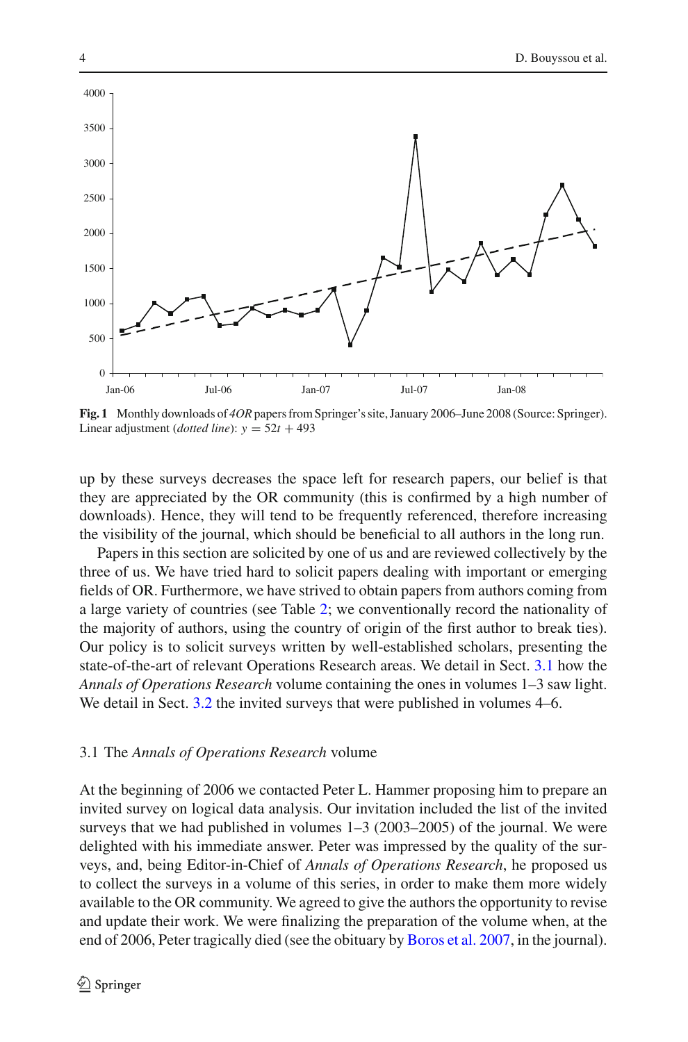

<span id="page-3-0"></span>**Fig. 1** Monthly downloads of *4OR*papers from Springer's site, January 2006–June 2008 (Source: Springer). Linear adjustment (*dotted line*):  $y = 52t + 493$ 

up by these surveys decreases the space left for research papers, our belief is that they are appreciated by the OR community (this is confirmed by a high number of downloads). Hence, they will tend to be frequently referenced, therefore increasing the visibility of the journal, which should be beneficial to all authors in the long run.

Papers in this section are solicited by one of us and are reviewed collectively by the three of us. We have tried hard to solicit papers dealing with important or emerging fields of OR. Furthermore, we have strived to obtain papers from authors coming from a large variety of countries (see Table [2;](#page-4-0) we conventionally record the nationality of the majority of authors, using the country of origin of the first author to break ties). Our policy is to solicit surveys written by well-established scholars, presenting the state-of-the-art of relevant Operations Research areas. We detail in Sect. [3.1](#page-3-1) how the *Annals of Operations Research* volume containing the ones in volumes 1–3 saw light. We detail in Sect. [3.2](#page-5-0) the invited surveys that were published in volumes 4–6.

#### <span id="page-3-1"></span>3.1 The *Annals of Operations Research* volume

At the beginning of 2006 we contacted Peter L. Hammer proposing him to prepare an invited survey on logical data analysis. Our invitation included the list of the invited surveys that we had published in volumes 1–3 (2003–2005) of the journal. We were delighted with his immediate answer. Peter was impressed by the quality of the surveys, and, being Editor-in-Chief of *Annals of Operations Research*, he proposed us to collect the surveys in a volume of this series, in order to make them more widely available to the OR community. We agreed to give the authors the opportunity to revise and update their work. We were finalizing the preparation of the volume when, at the end of 2006, Peter tragically died (see the obituary by [Boros et al. 2007](#page-13-3), in the journal).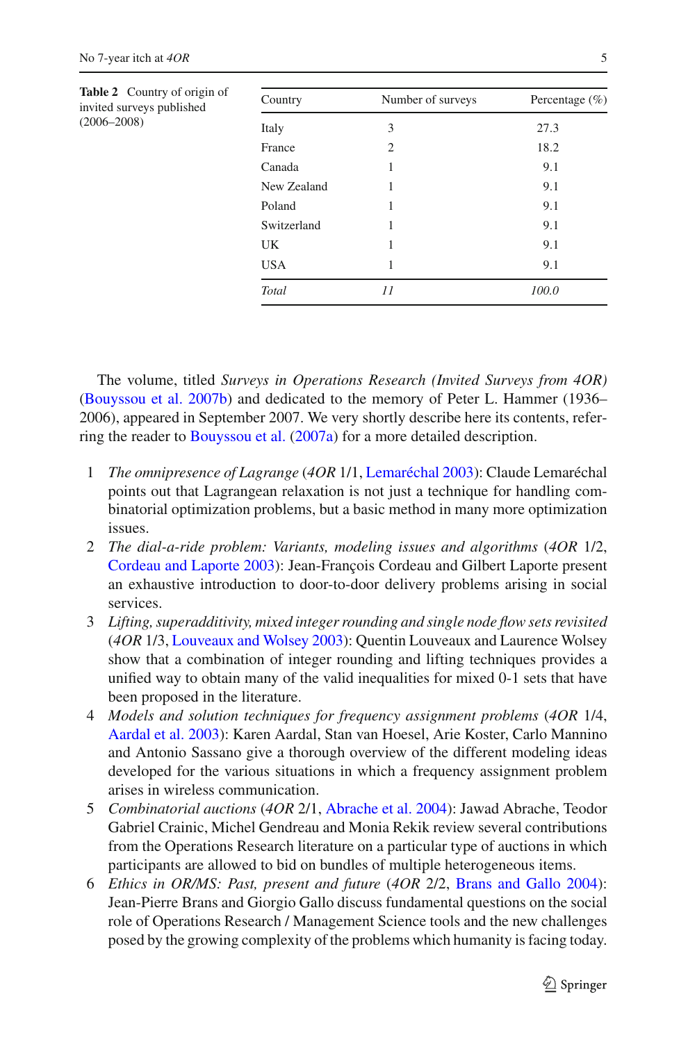<span id="page-4-0"></span>

| Table 2 Country of origin of<br>invited surveys published<br>$(2006 - 2008)$ | Country     | Number of surveys | Percentage $(\% )$ |
|------------------------------------------------------------------------------|-------------|-------------------|--------------------|
|                                                                              | Italy       | 3                 | 27.3               |
|                                                                              | France      | $\overline{2}$    | 18.2               |
|                                                                              | Canada      | 1                 | 9.1                |
|                                                                              | New Zealand | 1                 | 9.1                |
|                                                                              | Poland      | 1                 | 9.1                |
|                                                                              | Switzerland | 1                 | 9.1                |
|                                                                              | <b>UK</b>   | 1                 | 9.1                |
|                                                                              | <b>USA</b>  | 1                 | 9.1                |
|                                                                              | Total       | 11                | 100.0              |

The volume, titled *Surveys in Operations Research (Invited Surveys from 4OR)* [\(Bouyssou et al. 2007b](#page-13-2)) and dedicated to the memory of Peter L. Hammer (1936– 2006), appeared in September 2007. We very shortly describe here its contents, referring the reader to [Bouyssou et al.](#page-13-4) [\(2007a\)](#page-13-4) for a more detailed description.

- 1 *The omnipresence of Lagrange* (*4OR* 1/1, [Lemaréchal 2003\)](#page-14-0): Claude Lemaréchal points out that Lagrangean relaxation is not just a technique for handling combinatorial optimization problems, but a basic method in many more optimization issues.
- 2 *The dial-a-ride problem: Variants, modeling issues and algorithms* (*4OR* 1/2, [Cordeau and Laporte 2003\)](#page-13-5): Jean-François Cordeau and Gilbert Laporte present an exhaustive introduction to door-to-door delivery problems arising in social services.
- 3 *Lifting, superadditivity, mixed integer rounding and single node flow sets revisited* (*4OR* 1/3, [Louveaux and Wolsey 2003](#page-14-1)): Quentin Louveaux and Laurence Wolsey show that a combination of integer rounding and lifting techniques provides a unified way to obtain many of the valid inequalities for mixed 0-1 sets that have been proposed in the literature.
- 4 *Models and solution techniques for frequency assignment problems* (*4OR* 1/4, [Aardal et al. 2003](#page-13-6)): Karen Aardal, Stan van Hoesel, Arie Koster, Carlo Mannino and Antonio Sassano give a thorough overview of the different modeling ideas developed for the various situations in which a frequency assignment problem arises in wireless communication.
- 5 *Combinatorial auctions* (*4OR* 2/1, [Abrache et al. 2004\)](#page-13-7): Jawad Abrache, Teodor Gabriel Crainic, Michel Gendreau and Monia Rekik review several contributions from the Operations Research literature on a particular type of auctions in which participants are allowed to bid on bundles of multiple heterogeneous items.
- 6 *Ethics in OR/MS: Past, present and future* (*4OR* 2/2, [Brans and Gallo 2004\)](#page-13-8): Jean-Pierre Brans and Giorgio Gallo discuss fundamental questions on the social role of Operations Research / Management Science tools and the new challenges posed by the growing complexity of the problems which humanity is facing today.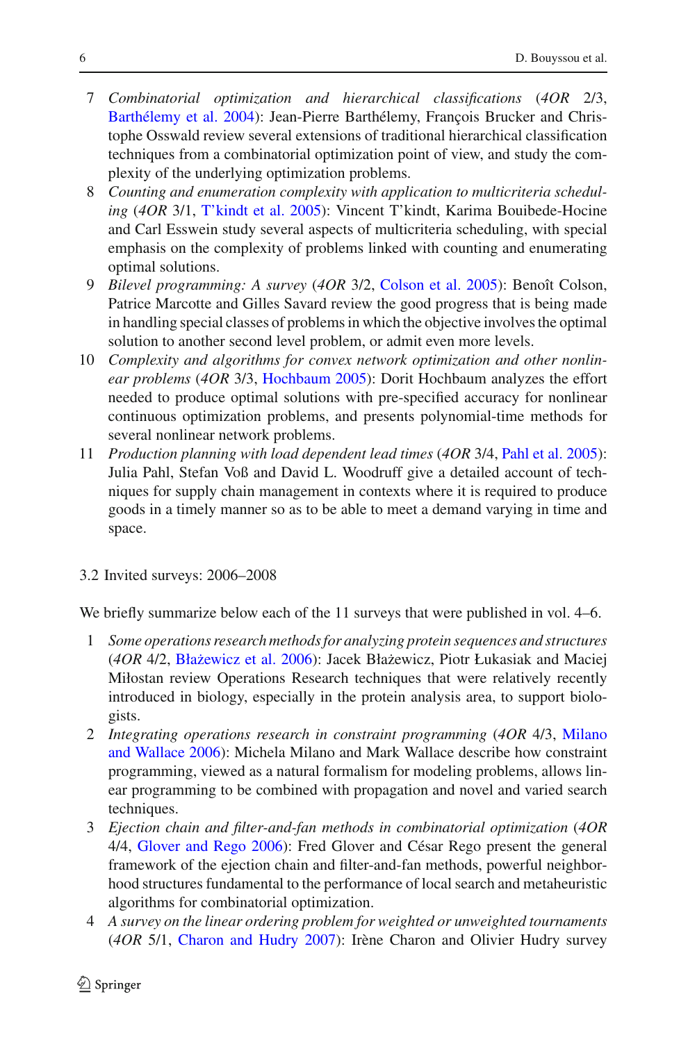- 7 *Combinatorial optimization and hierarchical classifications* (*4OR* 2/3, [Barthélemy et al. 2004\)](#page-13-9): Jean-Pierre Barthélemy, François Brucker and Christophe Osswald review several extensions of traditional hierarchical classification techniques from a combinatorial optimization point of view, and study the complexity of the underlying optimization problems.
- 8 *Counting and enumeration complexity with application to multicriteria scheduling* (*4OR* 3/1, [T'kindt et al. 2005](#page-14-2)): Vincent T'kindt, Karima Bouibede-Hocine and Carl Esswein study several aspects of multicriteria scheduling, with special emphasis on the complexity of problems linked with counting and enumerating optimal solutions.
- 9 *Bilevel programming: A survey* (*4OR* 3/2, [Colson et al. 2005\)](#page-13-10): Benoît Colson, Patrice Marcotte and Gilles Savard review the good progress that is being made in handling special classes of problems in which the objective involves the optimal solution to another second level problem, or admit even more levels.
- 10 *Complexity and algorithms for convex network optimization and other nonlinear problems* (*4OR* 3/3, [Hochbaum 2005](#page-14-3)): Dorit Hochbaum analyzes the effort needed to produce optimal solutions with pre-specified accuracy for nonlinear continuous optimization problems, and presents polynomial-time methods for several nonlinear network problems.
- 11 *Production planning with load dependent lead times* (*4OR* 3/4, [Pahl et al. 2005\)](#page-14-4): Julia Pahl, Stefan Voß and David L. Woodruff give a detailed account of techniques for supply chain management in contexts where it is required to produce goods in a timely manner so as to be able to meet a demand varying in time and space.
- <span id="page-5-0"></span>3.2 Invited surveys: 2006–2008

We briefly summarize below each of the 11 surveys that were published in vol. 4–6.

- 1 *Some operations research methods for analyzing protein sequences and structures* (4OR 4/2, Błażewicz et al. 2006): Jacek Błażewicz, Piotr Łukasiak and Maciej Miłostan review Operations Research techniques that were relatively recently introduced in biology, especially in the protein analysis area, to support biologists.
- 2 *Integrating [operations](#page-14-5) [research](#page-14-5) [in](#page-14-5) [constraint](#page-14-5) [programming](#page-14-5)* (*4OR* 4/3, Milano and Wallace [2006\)](#page-14-5): Michela Milano and Mark Wallace describe how constraint programming, viewed as a natural formalism for modeling problems, allows linear programming to be combined with propagation and novel and varied search techniques.
- 3 *Ejection chain and filter-and-fan methods in combinatorial optimization* (*4OR* 4/4, [Glover and Rego 2006\)](#page-14-6): Fred Glover and César Rego present the general framework of the ejection chain and filter-and-fan methods, powerful neighborhood structures fundamental to the performance of local search and metaheuristic algorithms for combinatorial optimization.
- 4 *A survey on the linear ordering problem for weighted or unweighted tournaments* (*4OR* 5/1, [Charon and Hudry 2007\)](#page-13-12): Irène Charon and Olivier Hudry survey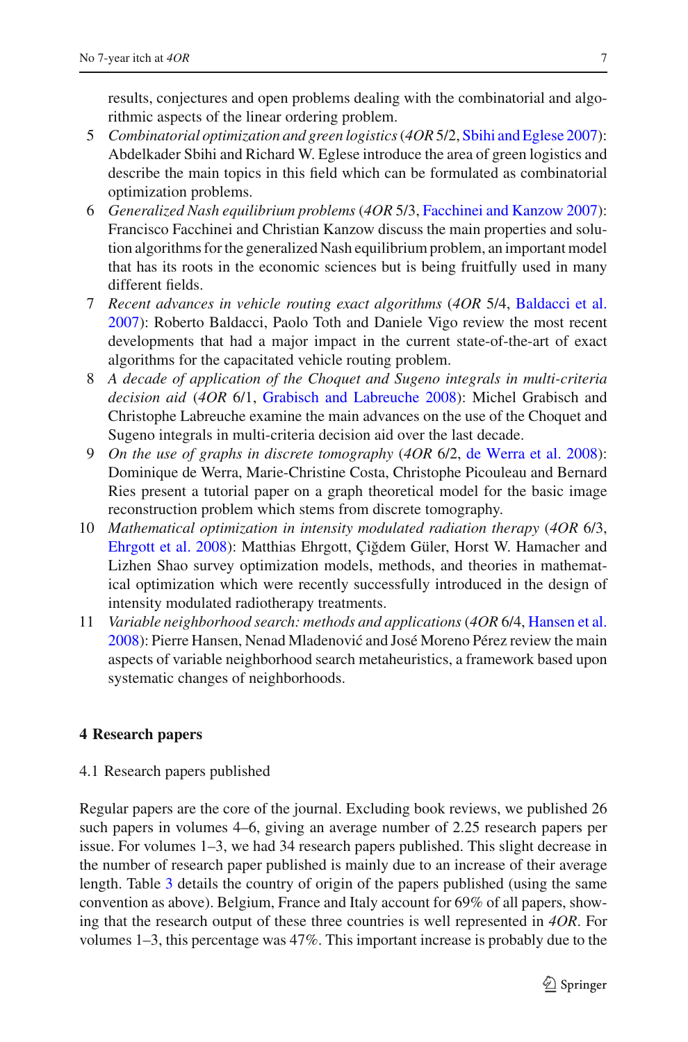results, conjectures and open problems dealing with the combinatorial and algorithmic aspects of the linear ordering problem.

- 5 *Combinatorial optimization and green logistics*(*4OR* 5/2, [Sbihi and Eglese 2007\)](#page-14-7): Abdelkader Sbihi and Richard W. Eglese introduce the area of green logistics and describe the main topics in this field which can be formulated as combinatorial optimization problems.
- 6 *Generalized Nash equilibrium problems* (*4OR* 5/3, [Facchinei and Kanzow 2007\)](#page-14-8): Francisco Facchinei and Christian Kanzow discuss the main properties and solution algorithms for the generalized Nash equilibrium problem, an important model that has its roots in the economic sciences but is being fruitfully used in many different fields.
- 7 *Recent advances in vehicle routing exact algorithms* (*4OR* 5/4, [Baldacci et al.](#page-13-13) [2007](#page-13-13)): Roberto Baldacci, Paolo Toth and Daniele Vigo review the most recent developments that had a major impact in the current state-of-the-art of exact algorithms for the capacitated vehicle routing problem.
- 8 *A decade of application of the Choquet and Sugeno integrals in multi-criteria decision aid* (*4OR* 6/1, [Grabisch and Labreuche 2008\)](#page-14-9): Michel Grabisch and Christophe Labreuche examine the main advances on the use of the Choquet and Sugeno integrals in multi-criteria decision aid over the last decade.
- 9 *On the use of graphs in discrete tomography* (*4OR* 6/2, [de Werra et al. 2008\)](#page-13-14): Dominique de Werra, Marie-Christine Costa, Christophe Picouleau and Bernard Ries present a tutorial paper on a graph theoretical model for the basic image reconstruction problem which stems from discrete tomography.
- 10 *Mathematical optimization in intensity modulated radiation therapy* (*4OR* 6/3, [Ehrgott et al. 2008](#page-14-10)): Matthias Ehrgott, Çiğdem Güler, Horst W. Hamacher and Lizhen Shao survey optimization models, methods, and theories in mathematical optimization which were recently successfully introduced in the design of intensity modulated radiotherapy treatments.
- 11 *Variable neighborhood search: methods and applications* (*4OR* 6/4, [Hansen et al.](#page-14-11) [2008](#page-14-11)): Pierre Hansen, Nenad Mladenović and José Moreno Pérez review the main aspects of variable neighborhood search metaheuristics, a framework based upon systematic changes of neighborhoods.

# **4 Research papers**

4.1 Research papers published

Regular papers are the core of the journal. Excluding book reviews, we published 26 such papers in volumes 4–6, giving an average number of 2.25 research papers per issue. For volumes 1–3, we had 34 research papers published. This slight decrease in the number of research paper published is mainly due to an increase of their average length. Table [3](#page-7-0) details the country of origin of the papers published (using the same convention as above). Belgium, France and Italy account for 69% of all papers, showing that the research output of these three countries is well represented in *4OR*. For volumes 1–3, this percentage was 47%. This important increase is probably due to the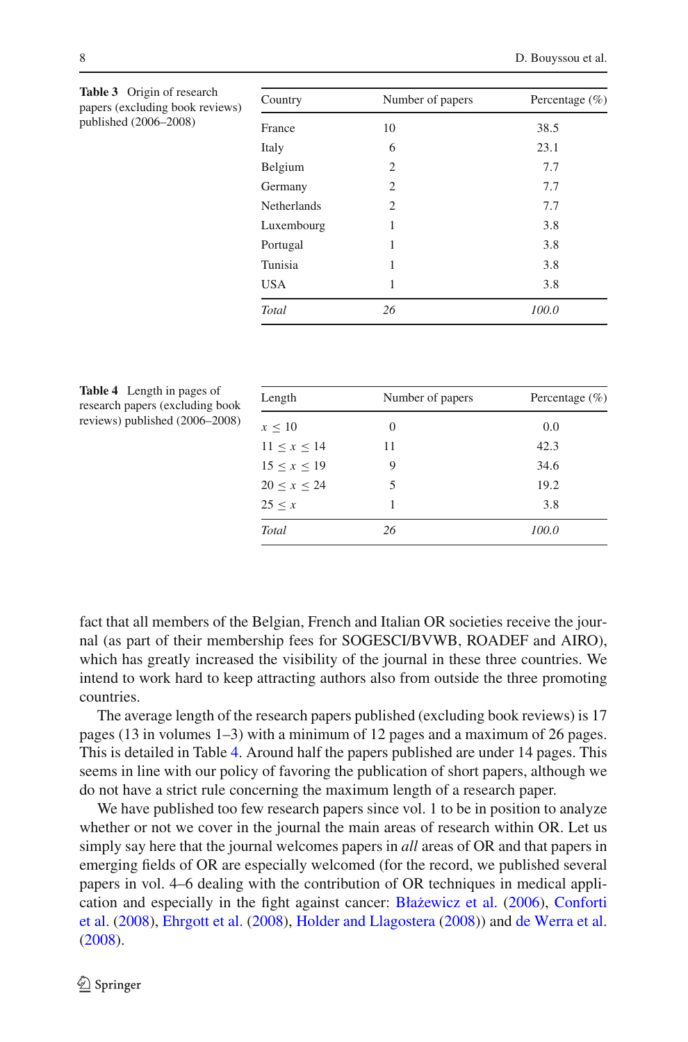| Country            | Number of papers | Percentage $(\% )$ |
|--------------------|------------------|--------------------|
| France             | 10               | 38.5               |
| Italy              | 6                | 23.1               |
| Belgium            | $\overline{c}$   | 7.7                |
| Germany            | $\overline{c}$   | 7.7                |
| <b>Netherlands</b> | $\overline{c}$   | 7.7                |
| Luxembourg         | 1                | 3.8                |
| Portugal           | 1                | 3.8                |
| Tunisia            | 1                | 3.8                |
| <b>USA</b>         | 1                | 3.8                |
| Total              | 26               | 100.0              |

<span id="page-7-0"></span>**Table 3** Origin of research papers (excluding book reviews) published (2006–2008)

<span id="page-7-1"></span>

| Table 4 Length in pages of      |
|---------------------------------|
| research papers (excluding book |
| reviews) published (2006-2008)  |

| Length      | Number of papers | Percentage $(\% )$ |
|-------------|------------------|--------------------|
| $x \leq 10$ | $\Omega$         | 0.0                |
| 11 < x < 14 | 11               | 42.3               |
| 15 < x < 19 | 9                | 34.6               |
| 20 < x < 24 | 5                | 19.2               |
| 25 < x      |                  | 3.8                |
| Total       | 26               | 100.0              |

fact that all members of the Belgian, French and Italian OR societies receive the journal (as part of their membership fees for SOGESCI/BVWB, ROADEF and AIRO), which has greatly increased the visibility of the journal in these three countries. We intend to work hard to keep attracting authors also from outside the three promoting countries.

The average length of the research papers published (excluding book reviews) is 17 pages (13 in volumes 1–3) with a minimum of 12 pages and a maximum of 26 pages. This is detailed in Table [4.](#page-7-1) Around half the papers published are under 14 pages. This seems in line with our policy of favoring the publication of short papers, although we do not have a strict rule concerning the maximum length of a research paper.

We have published too few research papers since vol. 1 to be in position to analyze whether or not we cover in the journal the main areas of research within OR. Let us simply say here that the journal welcomes papers in *all* areas of OR and that papers in emerging fields of OR are especially welcomed (for the record, we published several papers in vol. 4–6 dealing with the contribution of OR techniques in medical applicati[on](#page-13-15) [and](#page-13-15) [especially](#page-13-15) [in](#page-13-15) [the](#page-13-15) [fight](#page-13-15) [against](#page-13-15) [cancer:](#page-13-15) Błażewicz et al. [\(2006\)](#page-13-11), Conforti et al. [\(2008\)](#page-13-15), [Ehrgott et al.](#page-14-10) [\(2008](#page-14-10)), [Holder and Llagostera](#page-14-12) [\(2008\)](#page-14-12)) and [de Werra et al.](#page-13-14) [\(2008\)](#page-13-14).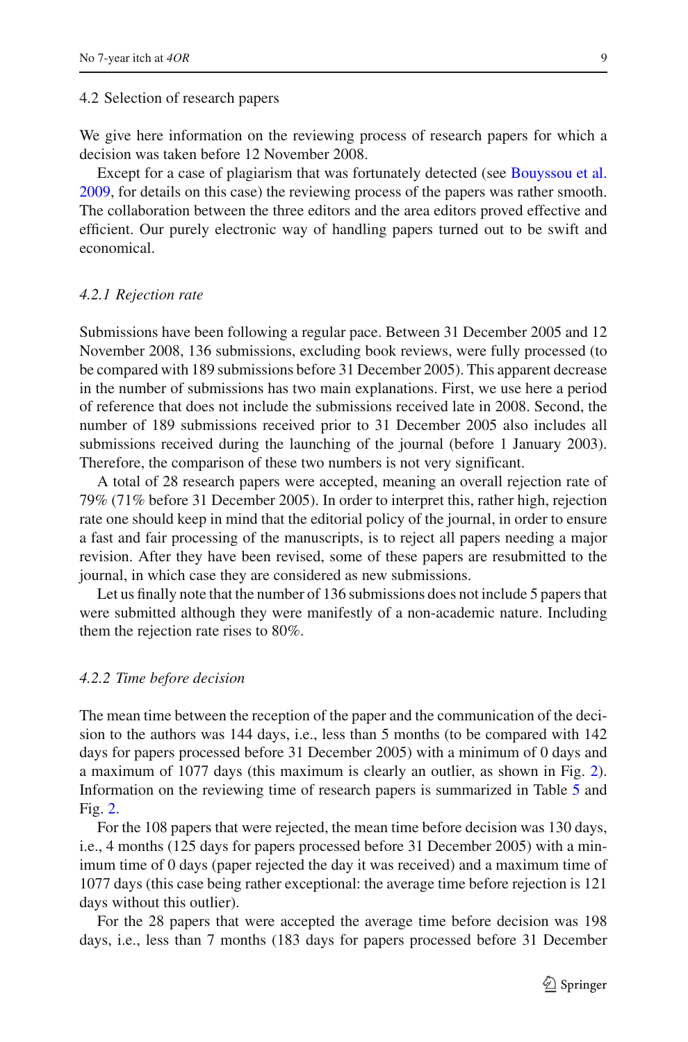We give here information on the reviewing process of research papers for which a decision was taken before 12 November 2008.

Except for a case of plagiarism that was fortunately detected (see [Bouyssou et al.](#page-13-16) [2009,](#page-13-16) for details on this case) the reviewing process of the papers was rather smooth. The collaboration between the three editors and the area editors proved effective and efficient. Our purely electronic way of handling papers turned out to be swift and economical.

#### *4.2.1 Rejection rate*

Submissions have been following a regular pace. Between 31 December 2005 and 12 November 2008, 136 submissions, excluding book reviews, were fully processed (to be compared with 189 submissions before 31 December 2005). This apparent decrease in the number of submissions has two main explanations. First, we use here a period of reference that does not include the submissions received late in 2008. Second, the number of 189 submissions received prior to 31 December 2005 also includes all submissions received during the launching of the journal (before 1 January 2003). Therefore, the comparison of these two numbers is not very significant.

A total of 28 research papers were accepted, meaning an overall rejection rate of 79% (71% before 31 December 2005). In order to interpret this, rather high, rejection rate one should keep in mind that the editorial policy of the journal, in order to ensure a fast and fair processing of the manuscripts, is to reject all papers needing a major revision. After they have been revised, some of these papers are resubmitted to the journal, in which case they are considered as new submissions.

Let us finally note that the number of 136 submissions does not include 5 papers that were submitted although they were manifestly of a non-academic nature. Including them the rejection rate rises to 80%.

#### *4.2.2 Time before decision*

The mean time between the reception of the paper and the communication of the decision to the authors was 144 days, i.e., less than 5 months (to be compared with 142 days for papers processed before 31 December 2005) with a minimum of 0 days and a maximum of 1077 days (this maximum is clearly an outlier, as shown in Fig. [2\)](#page-10-0). Information on the reviewing time of research papers is summarized in Table [5](#page-9-0) and Fig. [2.](#page-10-0)

For the 108 papers that were rejected, the mean time before decision was 130 days, i.e., 4 months (125 days for papers processed before 31 December 2005) with a minimum time of 0 days (paper rejected the day it was received) and a maximum time of 1077 days (this case being rather exceptional: the average time before rejection is 121 days without this outlier).

For the 28 papers that were accepted the average time before decision was 198 days, i.e., less than 7 months (183 days for papers processed before 31 December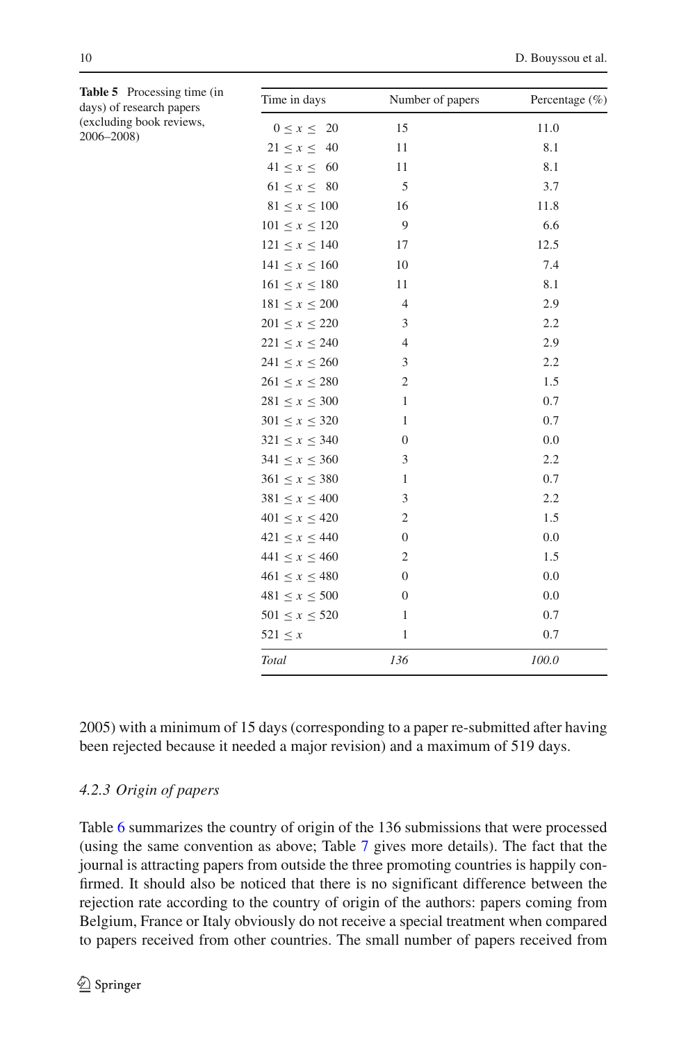<span id="page-9-0"></span>

| <b>Table 5</b> Processing time (in<br>days) of research papers | Time in days                                | Number of papers | Percentage $(\% )$ |
|----------------------------------------------------------------|---------------------------------------------|------------------|--------------------|
| (excluding book reviews,<br>2006-2008)                         | $0 \leq x \leq 20$                          | 15               | 11.0               |
|                                                                | $21 \leq x \leq$<br>40                      | 11               | 8.1                |
|                                                                | $41 \le x \le 60$                           | 11               | 8.1                |
|                                                                | $61 \le x \le 80$                           | 5                | 3.7                |
|                                                                | $81 \le x \le 100$                          | 16               | 11.8               |
|                                                                | $101 \le x \le 120$                         | 9                | 6.6                |
|                                                                | $121 \le x \le 140$                         | 17               | 12.5               |
|                                                                | $141 \le x \le 160$                         | 10               | 7.4                |
|                                                                | $161 \le x \le 180$                         | 11               | 8.1                |
|                                                                | $181 \le x \le 200$                         | $\overline{4}$   | 2.9                |
|                                                                | $201 \le x \le 220$                         | 3                | 2.2                |
|                                                                | $221 \le x \le 240$                         | $\overline{4}$   | 2.9                |
|                                                                | $241 \le x \le 260$                         | 3                | 2.2                |
|                                                                | $261 \le x \le 280$                         | $\mathfrak{2}$   | 1.5                |
|                                                                | $281 \le x \le 300$                         | $\mathbf{1}$     | 0.7                |
|                                                                | $301 \le x \le 320$                         | $\mathbf{1}$     | 0.7                |
|                                                                | $321 \le x \le 340$                         | $\boldsymbol{0}$ | 0.0                |
|                                                                | $341 \le x \le 360$                         | 3                | 2.2                |
|                                                                | $361 \le x \le 380$                         | $\mathbf{1}$     | 0.7                |
|                                                                | $381 \le x \le 400$                         | 3                | 2.2                |
|                                                                | $401 \le x \le 420$                         | $\mathfrak{2}$   | 1.5                |
|                                                                | $421 \le x \le 440$                         | $\boldsymbol{0}$ | 0.0                |
|                                                                | $441 \le x \le 460$                         | $\mathbf{2}$     | 1.5                |
|                                                                | $461 \le x \le 480$                         | $\boldsymbol{0}$ | 0.0                |
|                                                                | $481 \le x \le 500$                         | $\mathbf{0}$     | 0.0                |
|                                                                | $501 \le x \le 520$                         | $\mathbf{1}$     | 0.7                |
|                                                                | $521 \leq x$                                | $\mathbf{1}$     | $0.7\,$            |
|                                                                | $\operatorname{\mathcal{T}\!\mathit{otal}}$ | 136              | 100.0              |

2005) with a minimum of 15 days (corresponding to a paper re-submitted after having been rejected because it needed a major revision) and a maximum of 519 days.

# *4.2.3 Origin of papers*

Table [6](#page-10-1) summarizes the country of origin of the 136 submissions that were processed (using the same convention as above; Table [7](#page-11-0) gives more details). The fact that the journal is attracting papers from outside the three promoting countries is happily confirmed. It should also be noticed that there is no significant difference between the rejection rate according to the country of origin of the authors: papers coming from Belgium, France or Italy obviously do not receive a special treatment when compared to papers received from other countries. The small number of papers received from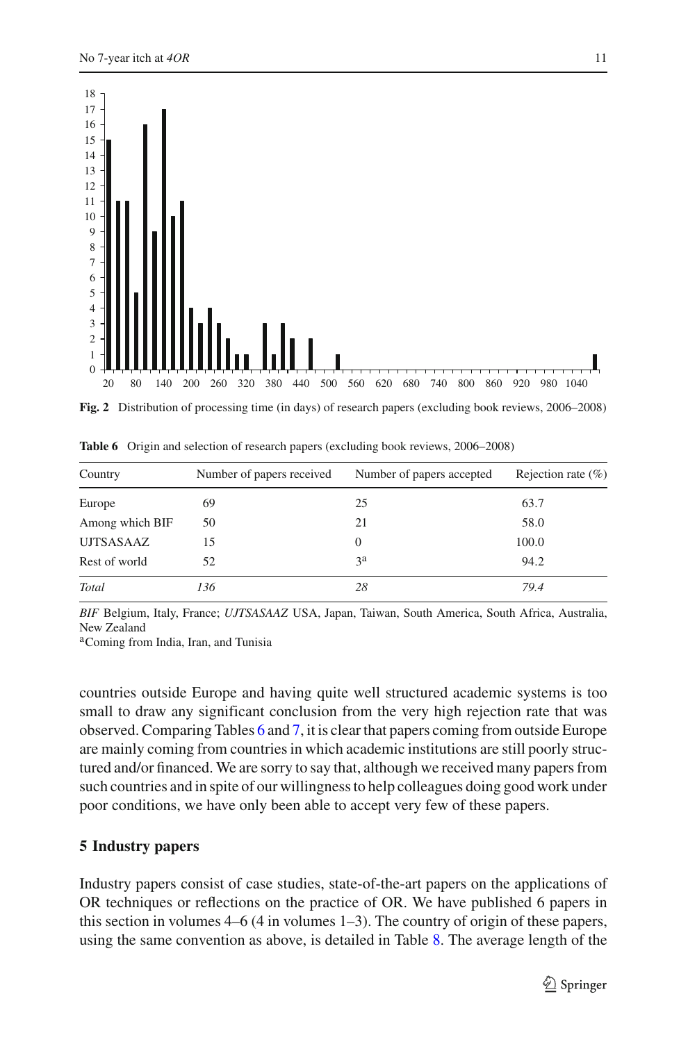

<span id="page-10-0"></span>**Fig. 2** Distribution of processing time (in days) of research papers (excluding book reviews, 2006–2008)

| Country         | Number of papers received | Number of papers accepted | Rejection rate $(\% )$ |
|-----------------|---------------------------|---------------------------|------------------------|
| Europe          | 69                        | 25                        | 63.7                   |
| Among which BIF | 50                        | 21                        | 58.0                   |
| UJTSASAAZ       | 15                        |                           | 100.0                  |
| Rest of world   | 52                        | 3 <sup>a</sup>            | 94.2                   |
| Total           | 136                       | 28                        | 79.4                   |

<span id="page-10-1"></span>**Table 6** Origin and selection of research papers (excluding book reviews, 2006–2008)

*BIF* Belgium, Italy, France; *UJTSASAAZ* USA, Japan, Taiwan, South America, South Africa, Australia, New Zealand

<sup>a</sup>Coming from India, Iran, and Tunisia

countries outside Europe and having quite well structured academic systems is too small to draw any significant conclusion from the very high rejection rate that was observed. Comparing Tables [6](#page-10-1) and [7,](#page-11-0) it is clear that papers coming from outside Europe are mainly coming from countries in which academic institutions are still poorly structured and/or financed. We are sorry to say that, although we received many papers from such countries and in spite of our willingness to help colleagues doing good work under poor conditions, we have only been able to accept very few of these papers.

#### **5 Industry papers**

Industry papers consist of case studies, state-of-the-art papers on the applications of OR techniques or reflections on the practice of OR. We have published 6 papers in this section in volumes 4–6 (4 in volumes 1–3). The country of origin of these papers, using the same convention as above, is detailed in Table [8.](#page-12-0) The average length of the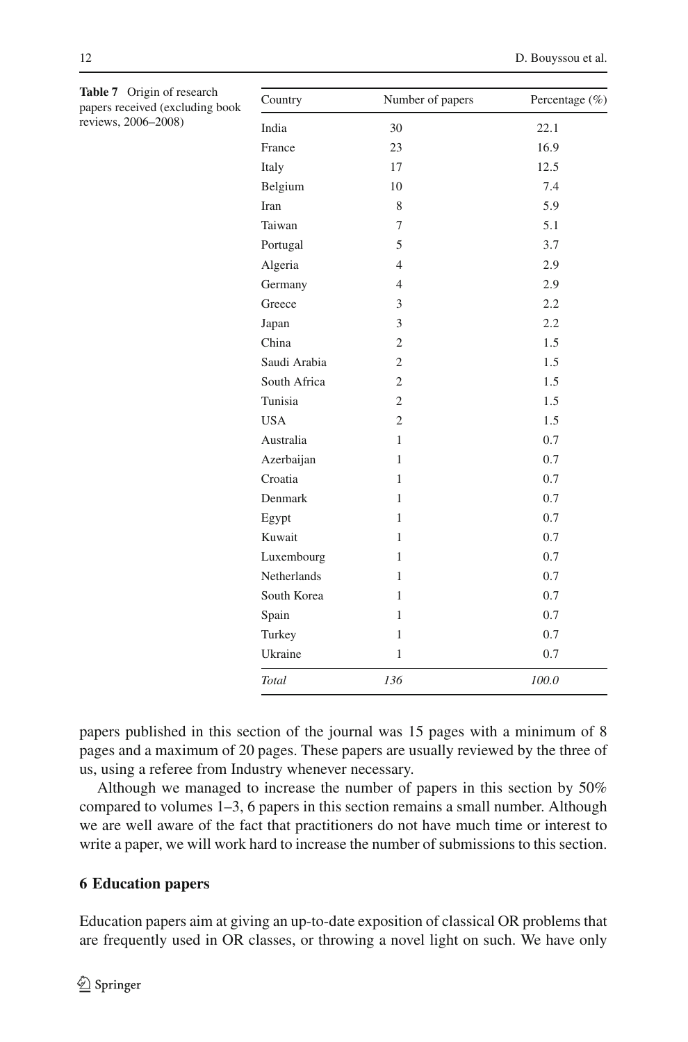| Country      | Number of papers | Percentage (%) |
|--------------|------------------|----------------|
| India        | 30               | 22.1           |
| France       | 23               | 16.9           |
| Italy        | 17               | 12.5           |
| Belgium      | 10               | 7.4            |
| Iran         | 8                | 5.9            |
| Taiwan       | 7                | 5.1            |
| Portugal     | 5                | 3.7            |
| Algeria      | $\overline{4}$   | 2.9            |
| Germany      | $\overline{4}$   | 2.9            |
| Greece       | 3                | 2.2            |
| Japan        | 3                | 2.2            |
| China        | $\overline{2}$   | 1.5            |
| Saudi Arabia | $\overline{c}$   | 1.5            |
| South Africa | $\overline{c}$   | 1.5            |
| Tunisia      | $\overline{2}$   | 1.5            |
| <b>USA</b>   | $\overline{c}$   | 1.5            |
| Australia    | 1                | 0.7            |
| Azerbaijan   | $\mathbf{1}$     | 0.7            |
| Croatia      | 1                | 0.7            |
| Denmark      | 1                | 0.7            |
| Egypt        | 1                | 0.7            |
| Kuwait       | 1                | 0.7            |
| Luxembourg   | 1                | 0.7            |
| Netherlands  | 1                | 0.7            |
| South Korea  | 1                | 0.7            |
| Spain        | 1                | 0.7            |
| Turkey       | 1                | 0.7            |
| Ukraine      | $\mathbf{1}$     | 0.7            |
| Total        | 136              | 100.0          |

<span id="page-11-0"></span>**Table 7** Origin of research papers received (excluding book reviews, 2006–2008)

papers published in this section of the journal was 15 pages with a minimum of 8 pages and a maximum of 20 pages. These papers are usually reviewed by the three of us, using a referee from Industry whenever necessary.

Although we managed to increase the number of papers in this section by 50% compared to volumes 1–3, 6 papers in this section remains a small number. Although we are well aware of the fact that practitioners do not have much time or interest to write a paper, we will work hard to increase the number of submissions to this section.

# **6 Education papers**

Education papers aim at giving an up-to-date exposition of classical OR problems that are frequently used in OR classes, or throwing a novel light on such. We have only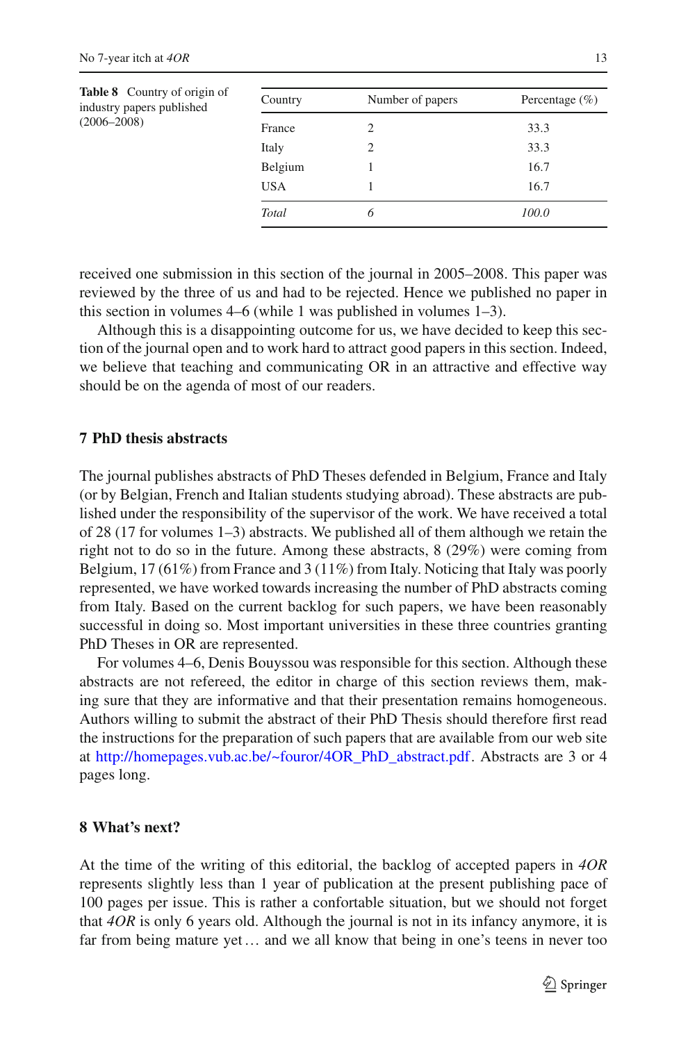<span id="page-12-0"></span>

| <b>Table 8</b> Country of origin of<br>industry papers published<br>$(2006 - 2008)$ | Country    | Number of papers | Percentage $(\% )$ |
|-------------------------------------------------------------------------------------|------------|------------------|--------------------|
|                                                                                     | France     |                  | 33.3               |
|                                                                                     | Italy      |                  | 33.3               |
|                                                                                     | Belgium    |                  | 16.7               |
|                                                                                     | <b>USA</b> |                  | 16.7               |
|                                                                                     | Total      | 6                | 100.0              |
|                                                                                     |            |                  |                    |

received one submission in this section of the journal in 2005–2008. This paper was reviewed by the three of us and had to be rejected. Hence we published no paper in this section in volumes 4–6 (while 1 was published in volumes 1–3).

Although this is a disappointing outcome for us, we have decided to keep this section of the journal open and to work hard to attract good papers in this section. Indeed, we believe that teaching and communicating OR in an attractive and effective way should be on the agenda of most of our readers.

# **7 PhD thesis abstracts**

The journal publishes abstracts of PhD Theses defended in Belgium, France and Italy (or by Belgian, French and Italian students studying abroad). These abstracts are published under the responsibility of the supervisor of the work. We have received a total of 28 (17 for volumes 1–3) abstracts. We published all of them although we retain the right not to do so in the future. Among these abstracts, 8 (29%) were coming from Belgium, 17 (61%) from France and 3 (11%) from Italy. Noticing that Italy was poorly represented, we have worked towards increasing the number of PhD abstracts coming from Italy. Based on the current backlog for such papers, we have been reasonably successful in doing so. Most important universities in these three countries granting PhD Theses in OR are represented.

For volumes 4–6, Denis Bouyssou was responsible for this section. Although these abstracts are not refereed, the editor in charge of this section reviews them, making sure that they are informative and that their presentation remains homogeneous. Authors willing to submit the abstract of their PhD Thesis should therefore first read the instructions for the preparation of such papers that are available from our web site at [http://homepages.vub.ac.be/~fouror/4OR\\_PhD\\_abstract.pdf.](http://homepages.vub.ac.be/~fouror/4OR_PhD_abstract.pdf) Abstracts are 3 or 4 pages long.

# **8 What's next?**

At the time of the writing of this editorial, the backlog of accepted papers in *4OR* represents slightly less than 1 year of publication at the present publishing pace of 100 pages per issue. This is rather a confortable situation, but we should not forget that *4OR* is only 6 years old. Although the journal is not in its infancy anymore, it is far from being mature yet… and we all know that being in one's teens in never too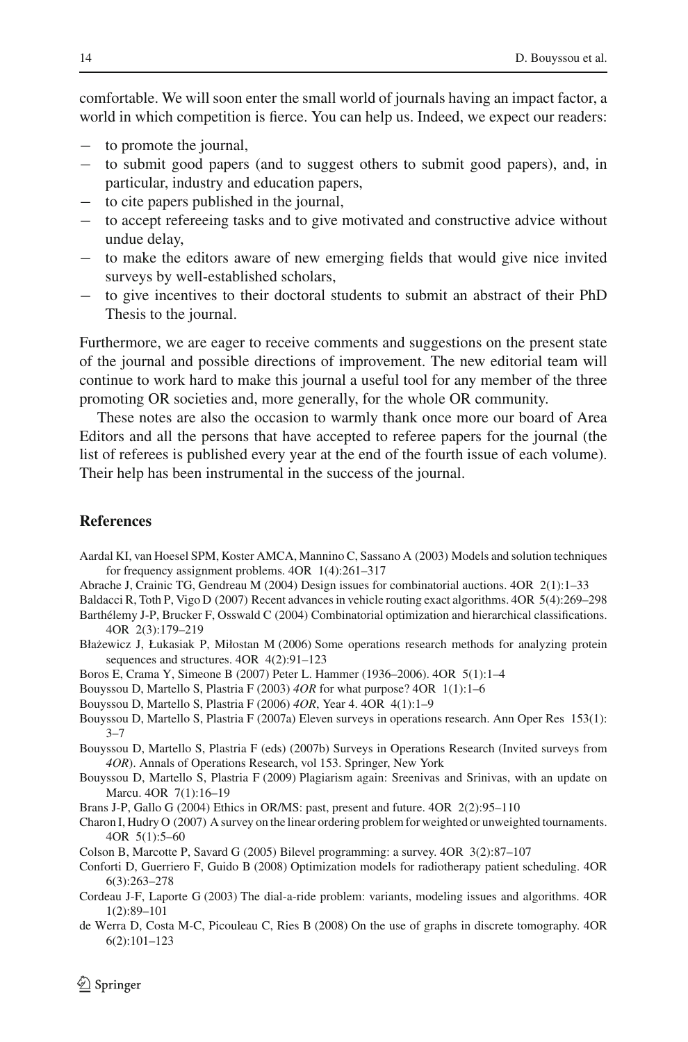comfortable. We will soon enter the small world of journals having an impact factor, a world in which competition is fierce. You can help us. Indeed, we expect our readers:

- − to promote the journal,
- − to submit good papers (and to suggest others to submit good papers), and, in particular, industry and education papers,
- − to cite papers published in the journal,
- − to accept refereeing tasks and to give motivated and constructive advice without undue delay,
- − to make the editors aware of new emerging fields that would give nice invited surveys by well-established scholars,
- − to give incentives to their doctoral students to submit an abstract of their PhD Thesis to the journal.

Furthermore, we are eager to receive comments and suggestions on the present state of the journal and possible directions of improvement. The new editorial team will continue to work hard to make this journal a useful tool for any member of the three promoting OR societies and, more generally, for the whole OR community.

These notes are also the occasion to warmly thank once more our board of Area Editors and all the persons that have accepted to referee papers for the journal (the list of referees is published every year at the end of the fourth issue of each volume). Their help has been instrumental in the success of the journal.

#### **References**

- <span id="page-13-6"></span>Aardal KI, van Hoesel SPM, Koster AMCA, Mannino C, Sassano A (2003) Models and solution techniques for frequency assignment problems. 4OR 1(4):261–317
- <span id="page-13-7"></span>Abrache J, Crainic TG, Gendreau M (2004) Design issues for combinatorial auctions. 4OR 2(1):1–33
- <span id="page-13-13"></span><span id="page-13-9"></span>Baldacci R, Toth P, Vigo D (2007) Recent advances in vehicle routing exact algorithms. 4OR 5(4):269–298 Barthélemy J-P, Brucker F, Osswald C (2004) Combinatorial optimization and hierarchical classifications. 4OR 2(3):179–219
- <span id="page-13-11"></span>Błażewicz J, Łukasiak P, Miłostan M (2006) Some operations research methods for analyzing protein sequences and structures. 4OR 4(2):91–123
- <span id="page-13-3"></span>Boros E, Crama Y, Simeone B (2007) Peter L. Hammer (1936–2006). 4OR 5(1):1–4
- <span id="page-13-0"></span>Bouyssou D, Martello S, Plastria F (2003) *4OR* for what purpose? 4OR 1(1):1–6
- Bouyssou D, Martello S, Plastria F (2006) *4OR*, Year 4. 4OR 4(1):1–9
- <span id="page-13-2"></span><span id="page-13-1"></span>Bouyssou D, Martello S, Plastria F (2007a) Eleven surveys in operations research. Ann Oper Res 153(1):  $3 - 7$
- <span id="page-13-4"></span>Bouyssou D, Martello S, Plastria F (eds) (2007b) Surveys in Operations Research (Invited surveys from *4OR*). Annals of Operations Research, vol 153. Springer, New York
- <span id="page-13-16"></span>Bouyssou D, Martello S, Plastria F (2009) Plagiarism again: Sreenivas and Srinivas, with an update on Marcu. 4OR 7(1):16–19
- <span id="page-13-8"></span>Brans J-P, Gallo G (2004) Ethics in OR/MS: past, present and future. 4OR 2(2):95–110
- <span id="page-13-12"></span>Charon I, Hudry O (2007) A survey on the linear ordering problem for weighted or unweighted tournaments. 4OR 5(1):5–60
- <span id="page-13-10"></span>Colson B, Marcotte P, Savard G (2005) Bilevel programming: a survey. 4OR 3(2):87–107
- <span id="page-13-15"></span>Conforti D, Guerriero F, Guido B (2008) Optimization models for radiotherapy patient scheduling. 4OR 6(3):263–278
- <span id="page-13-5"></span>Cordeau J-F, Laporte G (2003) The dial-a-ride problem: variants, modeling issues and algorithms. 4OR 1(2):89–101
- <span id="page-13-14"></span>de Werra D, Costa M-C, Picouleau C, Ries B (2008) On the use of graphs in discrete tomography. 4OR 6(2):101–123